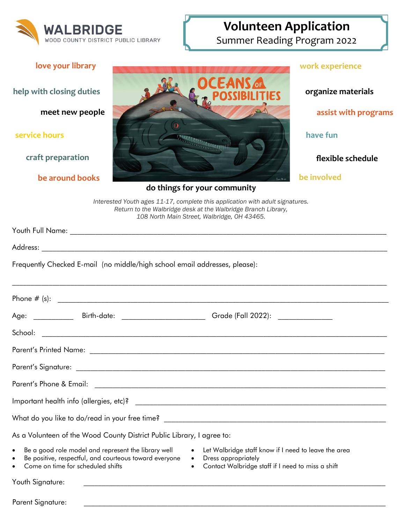

## **Volunteen Application**

Summer Reading Program 2022

| love your library                                                                                                                                                                                                                                                                                                                                         |                                                                                                                                                                                               | work experience                            |
|-----------------------------------------------------------------------------------------------------------------------------------------------------------------------------------------------------------------------------------------------------------------------------------------------------------------------------------------------------------|-----------------------------------------------------------------------------------------------------------------------------------------------------------------------------------------------|--------------------------------------------|
| help with closing duties<br>meet new people                                                                                                                                                                                                                                                                                                               |                                                                                                                                                                                               | organize materials<br>assist with programs |
| service hours                                                                                                                                                                                                                                                                                                                                             |                                                                                                                                                                                               | have fun                                   |
| craft preparation                                                                                                                                                                                                                                                                                                                                         |                                                                                                                                                                                               | flexible schedule                          |
| be around books                                                                                                                                                                                                                                                                                                                                           |                                                                                                                                                                                               | be involved                                |
| do things for your community                                                                                                                                                                                                                                                                                                                              |                                                                                                                                                                                               |                                            |
|                                                                                                                                                                                                                                                                                                                                                           | Interested Youth ages 11-17, complete this application with adult signatures.<br>Return to the Walbridge desk at the Walbridge Branch Library,<br>108 North Main Street, Walbridge, OH 43465. |                                            |
|                                                                                                                                                                                                                                                                                                                                                           |                                                                                                                                                                                               |                                            |
|                                                                                                                                                                                                                                                                                                                                                           |                                                                                                                                                                                               |                                            |
|                                                                                                                                                                                                                                                                                                                                                           | Frequently Checked E-mail (no middle/high school email addresses, please):                                                                                                                    |                                            |
|                                                                                                                                                                                                                                                                                                                                                           |                                                                                                                                                                                               |                                            |
|                                                                                                                                                                                                                                                                                                                                                           | Age: _____________________Birth-date: _________________________________Grade (Fall 2022): ___________________                                                                                 |                                            |
|                                                                                                                                                                                                                                                                                                                                                           |                                                                                                                                                                                               |                                            |
| <b>Parent's Printed Name:</b>                                                                                                                                                                                                                                                                                                                             |                                                                                                                                                                                               |                                            |
|                                                                                                                                                                                                                                                                                                                                                           |                                                                                                                                                                                               |                                            |
|                                                                                                                                                                                                                                                                                                                                                           |                                                                                                                                                                                               |                                            |
|                                                                                                                                                                                                                                                                                                                                                           |                                                                                                                                                                                               |                                            |
|                                                                                                                                                                                                                                                                                                                                                           |                                                                                                                                                                                               |                                            |
|                                                                                                                                                                                                                                                                                                                                                           | As a Volunteen of the Wood County District Public Library, I agree to:                                                                                                                        |                                            |
| Be a good role model and represent the library well<br>Let Walbridge staff know if I need to leave the area<br>$\bullet$<br>$\bullet$<br>Be positive, respectful, and courteous toward everyone<br>• Dress appropriately<br>$\bullet$<br>Come on time for scheduled shifts<br>Contact Walbridge staff if I need to miss a shift<br>$\bullet$<br>$\bullet$ |                                                                                                                                                                                               |                                            |
| Youth Signature:                                                                                                                                                                                                                                                                                                                                          | <u> 1980 - Jan James James Barnett, amerikan bizko bat dago eta bizkaitar bat bat bat bat bat bat bat bat bat ba</u>                                                                          |                                            |

Parent Signature: